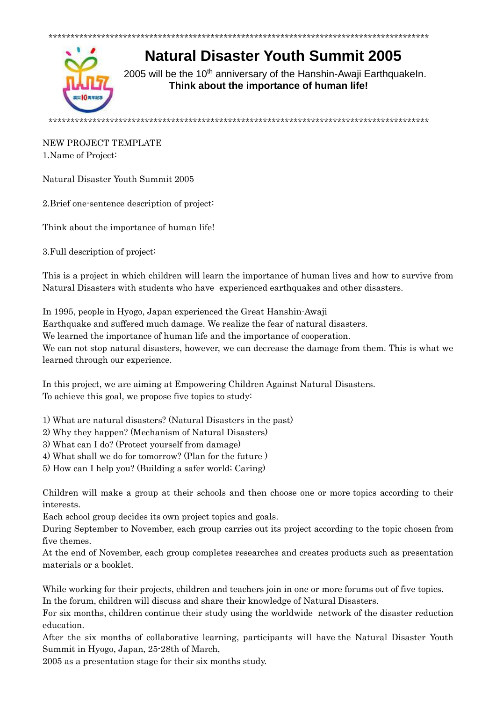

**Natural Disaster Youth Summit 2005** 

2005 will be the 10<sup>th</sup> anniversary of the Hanshin-Awaji Earthquakeln. Think about the importance of human life!

## NEW PROJECT TEMPLATE 1.Name of Project:

Natural Disaster Youth Summit 2005

2. Brief one-sentence description of project:

Think about the importance of human life!

3. Full description of project:

This is a project in which children will learn the importance of human lives and how to survive from Natural Disasters with students who have experienced earthquakes and other disasters.

In 1995, people in Hyogo, Japan experienced the Great Hanshin-Awaji Earthquake and suffered much damage. We realize the fear of natural disasters. We learned the importance of human life and the importance of cooperation. We can not stop natural disasters, however, we can decrease the damage from them. This is what we learned through our experience.

In this project, we are aiming at Empowering Children Against Natural Disasters. To achieve this goal, we propose five topics to study:

1) What are natural disasters? (Natural Disasters in the past)

- 2) Why they happen? (Mechanism of Natural Disasters)
- 3) What can I do? (Protect vourself from damage)
- 4) What shall we do for tomorrow? (Plan for the future)
- 5) How can I help you? (Building a safer world; Caring)

Children will make a group at their schools and then choose one or more topics according to their interests.

Each school group decides its own project topics and goals.

During September to November, each group carries out its project according to the topic chosen from five themes.

At the end of November, each group completes researches and creates products such as presentation materials or a booklet.

While working for their projects, children and teachers join in one or more forums out of five topics. In the forum, children will discuss and share their knowledge of Natural Disasters.

For six months, children continue their study using the worldwide network of the disaster reduction education.

After the six months of collaborative learning, participants will have the Natural Disaster Youth Summit in Hyogo, Japan, 25-28th of March,

2005 as a presentation stage for their six months study.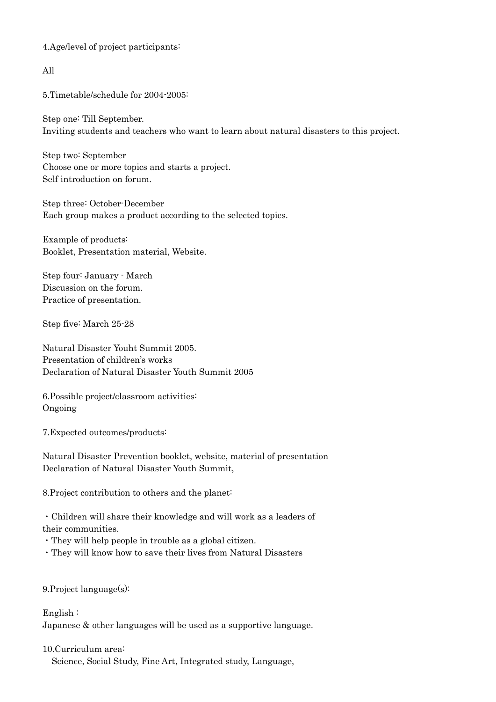4.Age/level of project participants:

All

5.Timetable/schedule for 2004-2005:

Step one: Till September. Inviting students and teachers who want to learn about natural disasters to this project.

Step two: September Choose one or more topics and starts a project. Self introduction on forum.

Step three: October-December Each group makes a product according to the selected topics.

Example of products: Booklet, Presentation material, Website.

Step four: January - March Discussion on the forum. Practice of presentation.

Step five: March 25-28

Natural Disaster Youht Summit 2005. Presentation of children's works Declaration of Natural Disaster Youth Summit 2005

6.Possible project/classroom activities: Ongoing

7.Expected outcomes/products:

Natural Disaster Prevention booklet, website, material of presentation Declaration of Natural Disaster Youth Summit,

8.Project contribution to others and the planet:

・Children will share their knowledge and will work as a leaders of their communities.

・They will help people in trouble as a global citizen.

・They will know how to save their lives from Natural Disasters

9.Project language(s):

English : Japanese & other languages will be used as a supportive language.

10.Curriculum area: Science, Social Study, Fine Art, Integrated study, Language,